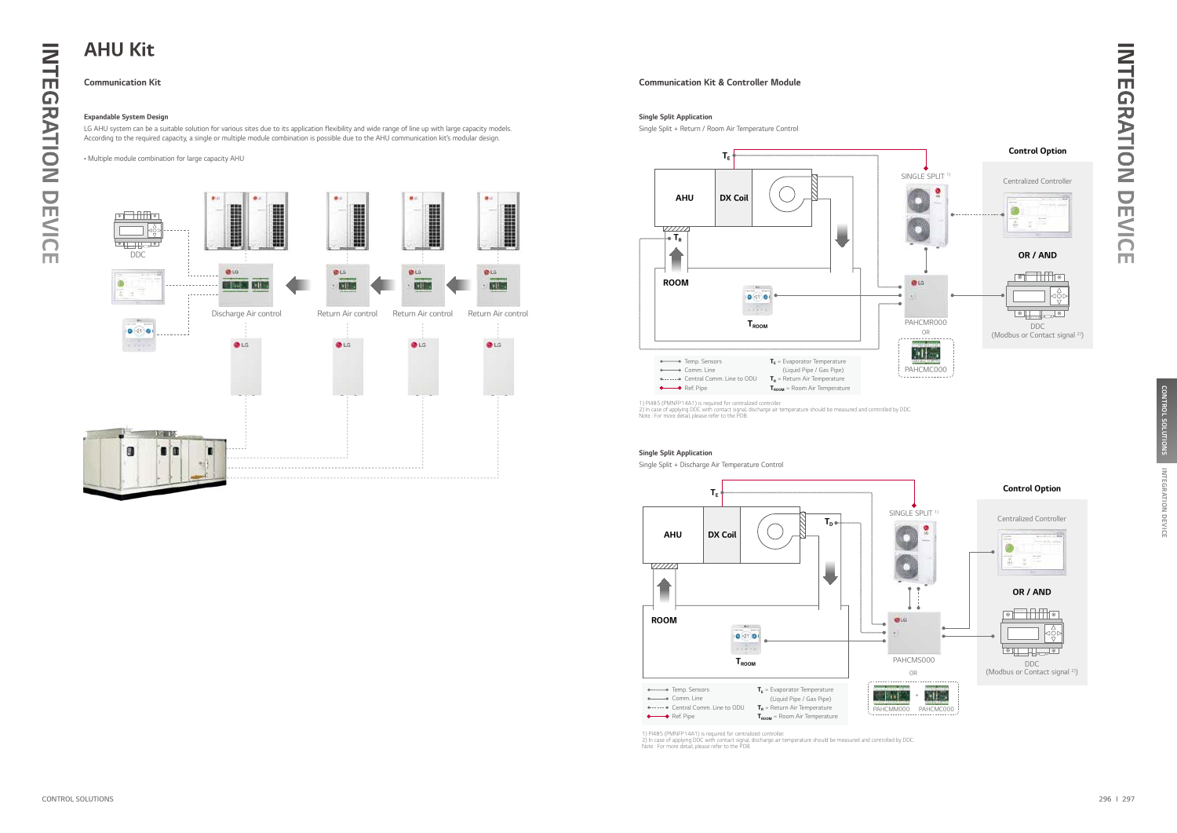

Single Split + Discharge Air Temperature Control



1) PI485 (PMNFP14A1) is required for centralized controller.<br>2) In case of applying DDC with contact signal, discharge air temperature should be measured and controlled by DDC.<br>Note : For more detail, please refer to the P

### Single Split Application

LG AHU system can be a suitable solution for various sites due to its application flexibility and wide range of line up with large capacity models. According to the required capacity, a single or multiple module combination is possible due to the AHU communication kit's modular design.

• Multiple module combination for large capacity AHU

## Expandable System Design



Single Split + Return / Room Air Temperature Control

### Single Split Application



## Communication Kit Communication Kit & Controller Module

## AHU Kit